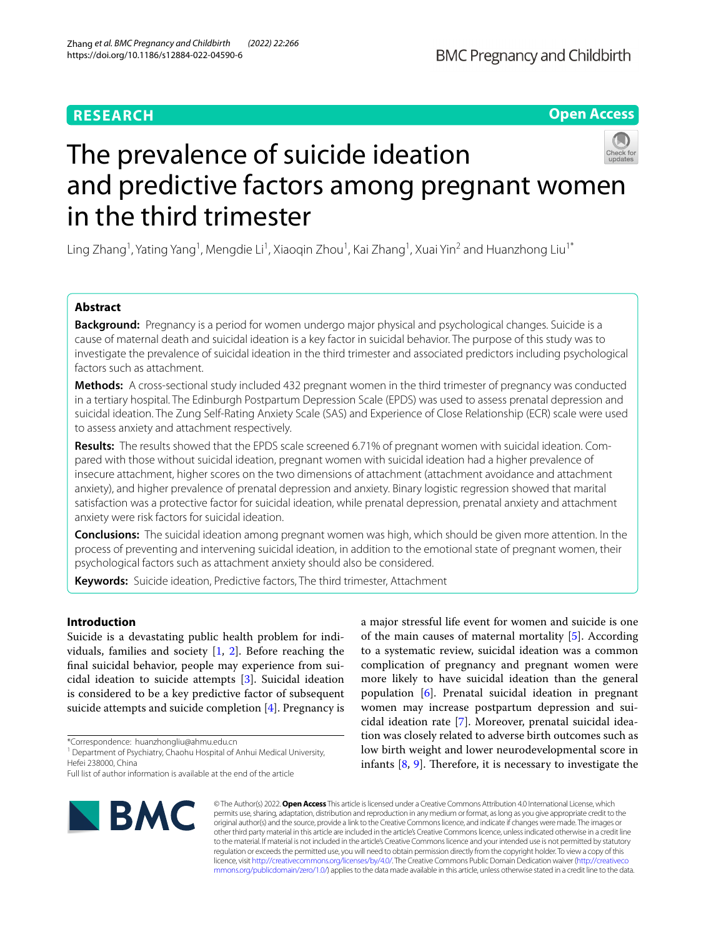## **RESEARCH**

## **Open Access**



# The prevalence of suicide ideation and predictive factors among pregnant women in the third trimester

Ling Zhang<sup>1</sup>, Yating Yang<sup>1</sup>, Mengdie Li<sup>1</sup>, Xiaoqin Zhou<sup>1</sup>, Kai Zhang<sup>1</sup>, Xuai Yin<sup>2</sup> and Huanzhong Liu<sup>1\*</sup>

## **Abstract**

**Background:** Pregnancy is a period for women undergo major physical and psychological changes. Suicide is a cause of maternal death and suicidal ideation is a key factor in suicidal behavior. The purpose of this study was to investigate the prevalence of suicidal ideation in the third trimester and associated predictors including psychological factors such as attachment.

**Methods:** A cross-sectional study included 432 pregnant women in the third trimester of pregnancy was conducted in a tertiary hospital. The Edinburgh Postpartum Depression Scale (EPDS) was used to assess prenatal depression and suicidal ideation. The Zung Self-Rating Anxiety Scale (SAS) and Experience of Close Relationship (ECR) scale were used to assess anxiety and attachment respectively.

**Results:** The results showed that the EPDS scale screened 6.71% of pregnant women with suicidal ideation. Compared with those without suicidal ideation, pregnant women with suicidal ideation had a higher prevalence of insecure attachment, higher scores on the two dimensions of attachment (attachment avoidance and attachment anxiety), and higher prevalence of prenatal depression and anxiety. Binary logistic regression showed that marital satisfaction was a protective factor for suicidal ideation, while prenatal depression, prenatal anxiety and attachment anxiety were risk factors for suicidal ideation.

**Conclusions:** The suicidal ideation among pregnant women was high, which should be given more attention. In the process of preventing and intervening suicidal ideation, in addition to the emotional state of pregnant women, their psychological factors such as attachment anxiety should also be considered.

**Keywords:** Suicide ideation, Predictive factors, The third trimester, Attachment

## **Introduction**

Suicide is a devastating public health problem for individuals, families and society [\[1](#page-5-0), [2](#page-5-1)]. Before reaching the fnal suicidal behavior, people may experience from suicidal ideation to suicide attempts [\[3](#page-5-2)]. Suicidal ideation is considered to be a key predictive factor of subsequent suicide attempts and suicide completion [[4\]](#page-5-3). Pregnancy is

\*Correspondence: huanzhongliu@ahmu.edu.cn

Full list of author information is available at the end of the article



a major stressful life event for women and suicide is one of the main causes of maternal mortality [\[5](#page-5-4)]. According to a systematic review, suicidal ideation was a common complication of pregnancy and pregnant women were more likely to have suicidal ideation than the general population [[6\]](#page-5-5). Prenatal suicidal ideation in pregnant women may increase postpartum depression and suicidal ideation rate [[7\]](#page-5-6). Moreover, prenatal suicidal ideation was closely related to adverse birth outcomes such as low birth weight and lower neurodevelopmental score in infants  $[8, 9]$  $[8, 9]$  $[8, 9]$  $[8, 9]$ . Therefore, it is necessary to investigate the

© The Author(s) 2022. **Open Access** This article is licensed under a Creative Commons Attribution 4.0 International License, which permits use, sharing, adaptation, distribution and reproduction in any medium or format, as long as you give appropriate credit to the original author(s) and the source, provide a link to the Creative Commons licence, and indicate if changes were made. The images or other third party material in this article are included in the article's Creative Commons licence, unless indicated otherwise in a credit line to the material. If material is not included in the article's Creative Commons licence and your intended use is not permitted by statutory regulation or exceeds the permitted use, you will need to obtain permission directly from the copyright holder. To view a copy of this licence, visit [http://creativecommons.org/licenses/by/4.0/.](http://creativecommons.org/licenses/by/4.0/) The Creative Commons Public Domain Dedication waiver ([http://creativeco](http://creativecommons.org/publicdomain/zero/1.0/) [mmons.org/publicdomain/zero/1.0/](http://creativecommons.org/publicdomain/zero/1.0/)) applies to the data made available in this article, unless otherwise stated in a credit line to the data.

<sup>&</sup>lt;sup>1</sup> Department of Psychiatry, Chaohu Hospital of Anhui Medical University, Hefei 238000, China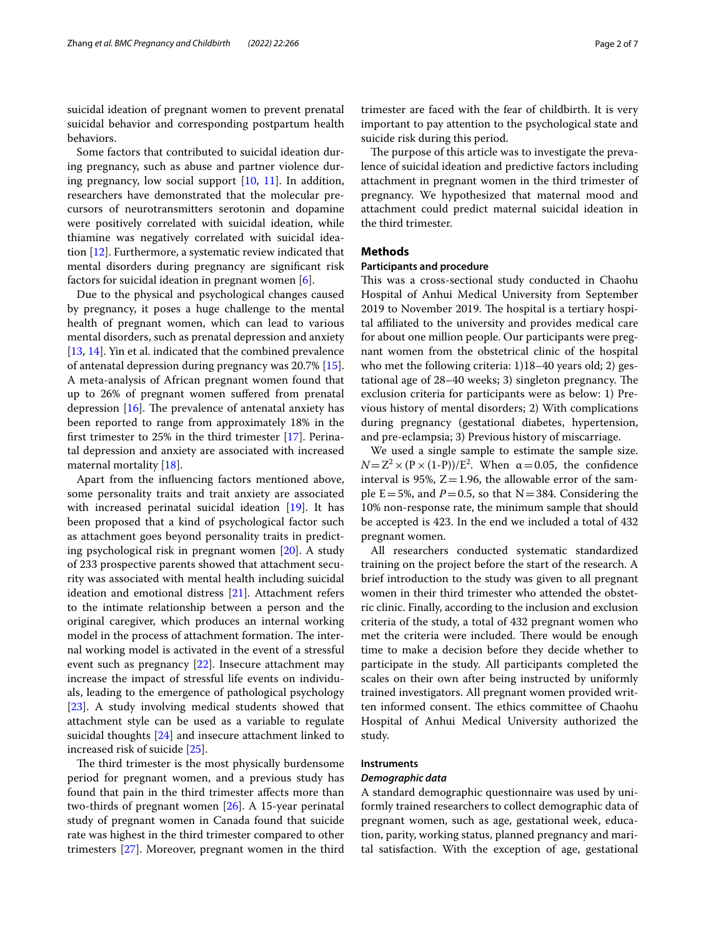suicidal ideation of pregnant women to prevent prenatal suicidal behavior and corresponding postpartum health behaviors.

Some factors that contributed to suicidal ideation during pregnancy, such as abuse and partner violence during pregnancy, low social support [[10](#page-5-9), [11](#page-5-10)]. In addition, researchers have demonstrated that the molecular precursors of neurotransmitters serotonin and dopamine were positively correlated with suicidal ideation, while thiamine was negatively correlated with suicidal ideation [[12](#page-5-11)]. Furthermore, a systematic review indicated that mental disorders during pregnancy are signifcant risk factors for suicidal ideation in pregnant women [\[6](#page-5-5)].

Due to the physical and psychological changes caused by pregnancy, it poses a huge challenge to the mental health of pregnant women, which can lead to various mental disorders, such as prenatal depression and anxiety [[13,](#page-5-12) [14](#page-5-13)]. Yin et al. indicated that the combined prevalence of antenatal depression during pregnancy was 20.7% [\[15](#page-5-14)]. A meta-analysis of African pregnant women found that up to 26% of pregnant women sufered from prenatal depression  $[16]$  $[16]$ . The prevalence of antenatal anxiety has been reported to range from approximately 18% in the frst trimester to 25% in the third trimester [\[17](#page-5-16)]. Perinatal depression and anxiety are associated with increased maternal mortality [[18\]](#page-6-0).

Apart from the infuencing factors mentioned above, some personality traits and trait anxiety are associated with increased perinatal suicidal ideation [[19](#page-6-1)]. It has been proposed that a kind of psychological factor such as attachment goes beyond personality traits in predicting psychological risk in pregnant women [\[20](#page-6-2)]. A study of 233 prospective parents showed that attachment security was associated with mental health including suicidal ideation and emotional distress [[21\]](#page-6-3). Attachment refers to the intimate relationship between a person and the original caregiver, which produces an internal working model in the process of attachment formation. The internal working model is activated in the event of a stressful event such as pregnancy [\[22](#page-6-4)]. Insecure attachment may increase the impact of stressful life events on individuals, leading to the emergence of pathological psychology [[23\]](#page-6-5). A study involving medical students showed that attachment style can be used as a variable to regulate suicidal thoughts [\[24](#page-6-6)] and insecure attachment linked to increased risk of suicide [\[25\]](#page-6-7).

The third trimester is the most physically burdensome period for pregnant women, and a previous study has found that pain in the third trimester afects more than two-thirds of pregnant women [\[26](#page-6-8)]. A 15-year perinatal study of pregnant women in Canada found that suicide rate was highest in the third trimester compared to other trimesters [[27\]](#page-6-9). Moreover, pregnant women in the third trimester are faced with the fear of childbirth. It is very important to pay attention to the psychological state and suicide risk during this period.

The purpose of this article was to investigate the prevalence of suicidal ideation and predictive factors including attachment in pregnant women in the third trimester of pregnancy. We hypothesized that maternal mood and attachment could predict maternal suicidal ideation in the third trimester.

### **Methods**

## **Participants and procedure**

This was a cross-sectional study conducted in Chaohu Hospital of Anhui Medical University from September 2019 to November 2019. The hospital is a tertiary hospital afliated to the university and provides medical care for about one million people. Our participants were pregnant women from the obstetrical clinic of the hospital who met the following criteria: 1)18–40 years old; 2) gestational age of  $28-40$  weeks; 3) singleton pregnancy. The exclusion criteria for participants were as below: 1) Previous history of mental disorders; 2) With complications during pregnancy (gestational diabetes, hypertension, and pre-eclampsia; 3) Previous history of miscarriage.

We used a single sample to estimate the sample size.  $N = Z^2 \times (P \times (1-P))/E^2$ . When  $\alpha = 0.05$ , the confidence interval is 95%,  $Z=1.96$ , the allowable error of the sample  $E=5%$ , and  $P=0.5$ , so that  $N=384$ . Considering the 10% non-response rate, the minimum sample that should be accepted is 423. In the end we included a total of 432 pregnant women.

All researchers conducted systematic standardized training on the project before the start of the research. A brief introduction to the study was given to all pregnant women in their third trimester who attended the obstetric clinic. Finally, according to the inclusion and exclusion criteria of the study, a total of 432 pregnant women who met the criteria were included. There would be enough time to make a decision before they decide whether to participate in the study. All participants completed the scales on their own after being instructed by uniformly trained investigators. All pregnant women provided written informed consent. The ethics committee of Chaohu Hospital of Anhui Medical University authorized the study.

#### **Instruments**

#### *Demographic data*

A standard demographic questionnaire was used by uniformly trained researchers to collect demographic data of pregnant women, such as age, gestational week, education, parity, working status, planned pregnancy and marital satisfaction. With the exception of age, gestational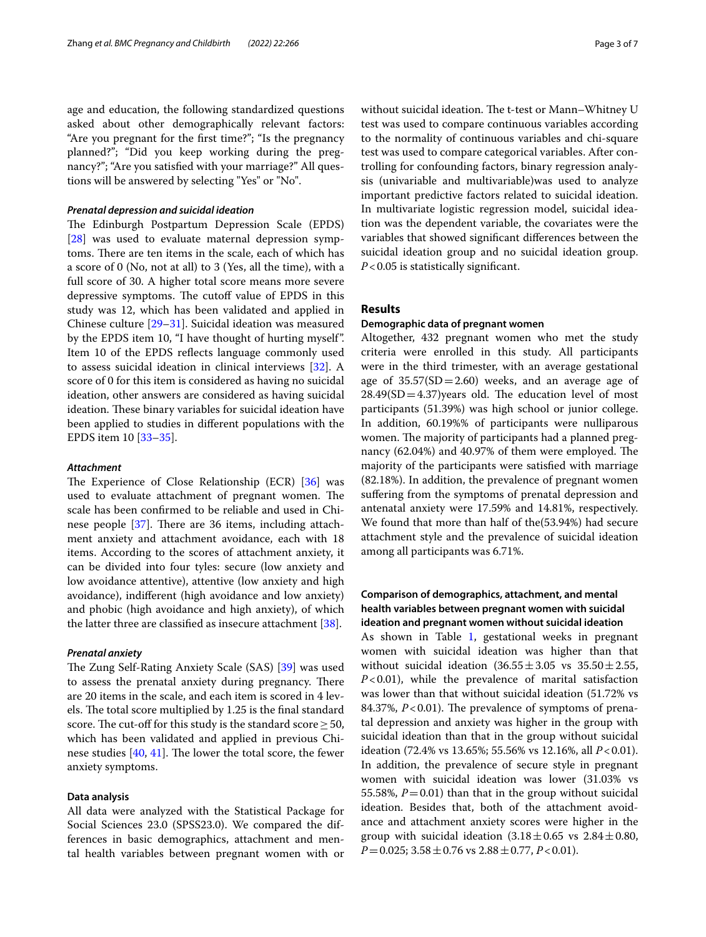age and education, the following standardized questions asked about other demographically relevant factors: "Are you pregnant for the frst time?"; "Is the pregnancy planned?"; "Did you keep working during the pregnancy?"; "Are you satisfed with your marriage?" All questions will be answered by selecting "Yes" or "No".

#### *Prenatal depression and suicidal ideation*

The Edinburgh Postpartum Depression Scale (EPDS) [[28\]](#page-6-10) was used to evaluate maternal depression symptoms. There are ten items in the scale, each of which has a score of 0 (No, not at all) to 3 (Yes, all the time), with a full score of 30. A higher total score means more severe depressive symptoms. The cutoff value of EPDS in this study was 12, which has been validated and applied in Chinese culture [\[29](#page-6-11)[–31](#page-6-12)]. Suicidal ideation was measured by the EPDS item 10, "I have thought of hurting myself". Item 10 of the EPDS refects language commonly used to assess suicidal ideation in clinical interviews [\[32](#page-6-13)]. A score of 0 for this item is considered as having no suicidal ideation, other answers are considered as having suicidal ideation. These binary variables for suicidal ideation have been applied to studies in diferent populations with the EPDS item 10 [[33](#page-6-14)[–35](#page-6-15)].

#### *Attachment*

The Experience of Close Relationship (ECR)  $[36]$  $[36]$  was used to evaluate attachment of pregnant women. The scale has been confrmed to be reliable and used in Chinese people  $[37]$  $[37]$  $[37]$ . There are 36 items, including attachment anxiety and attachment avoidance, each with 18 items. According to the scores of attachment anxiety, it can be divided into four tyles: secure (low anxiety and low avoidance attentive), attentive (low anxiety and high avoidance), indiferent (high avoidance and low anxiety) and phobic (high avoidance and high anxiety), of which the latter three are classifed as insecure attachment [\[38](#page-6-18)].

#### *Prenatal anxiety*

The Zung Self-Rating Anxiety Scale (SAS) [\[39\]](#page-6-19) was used to assess the prenatal anxiety during pregnancy. There are 20 items in the scale, and each item is scored in 4 levels. The total score multiplied by 1.25 is the final standard score. The cut-off for this study is the standard score  $\geq$  50, which has been validated and applied in previous Chinese studies  $[40, 41]$  $[40, 41]$  $[40, 41]$ . The lower the total score, the fewer anxiety symptoms.

#### **Data analysis**

All data were analyzed with the Statistical Package for Social Sciences 23.0 (SPSS23.0). We compared the differences in basic demographics, attachment and mental health variables between pregnant women with or without suicidal ideation. The t-test or Mann-Whitney U test was used to compare continuous variables according to the normality of continuous variables and chi-square test was used to compare categorical variables. After controlling for confounding factors, binary regression analysis (univariable and multivariable)was used to analyze important predictive factors related to suicidal ideation. In multivariate logistic regression model, suicidal ideation was the dependent variable, the covariates were the variables that showed signifcant diferences between the suicidal ideation group and no suicidal ideation group. *P*<0.05 is statistically significant.

## **Results**

#### **Demographic data of pregnant women**

Altogether, 432 pregnant women who met the study criteria were enrolled in this study. All participants were in the third trimester, with an average gestational age of  $35.57(SD = 2.60)$  weeks, and an average age of  $28.49(SD=4.37)$ years old. The education level of most participants (51.39%) was high school or junior college. In addition, 60.19%% of participants were nulliparous women. The majority of participants had a planned pregnancy  $(62.04%)$  and  $40.97%$  of them were employed. The majority of the participants were satisfed with marriage (82.18%). In addition, the prevalence of pregnant women suffering from the symptoms of prenatal depression and antenatal anxiety were 17.59% and 14.81%, respectively. We found that more than half of the(53.94%) had secure attachment style and the prevalence of suicidal ideation among all participants was 6.71%.

## **Comparison of demographics, attachment, and mental health variables between pregnant women with suicidal ideation and pregnant women without suicidal ideation**

As shown in Table [1](#page-3-0), gestational weeks in pregnant women with suicidal ideation was higher than that without suicidal ideation  $(36.55 \pm 3.05 \text{ vs } 35.50 \pm 2.55,$ *P*<0.01), while the prevalence of marital satisfaction was lower than that without suicidal ideation (51.72% vs 84.37%,  $P < 0.01$ ). The prevalence of symptoms of prenatal depression and anxiety was higher in the group with suicidal ideation than that in the group without suicidal ideation (72.4% vs 13.65%; 55.56% vs 12.16%, all *P*<0.01). In addition, the prevalence of secure style in pregnant women with suicidal ideation was lower (31.03% vs 55.58%,  $P = 0.01$ ) than that in the group without suicidal ideation. Besides that, both of the attachment avoidance and attachment anxiety scores were higher in the group with suicidal ideation  $(3.18 \pm 0.65 \text{ vs } 2.84 \pm 0.80,$ *P*=0.025; 3.58±0.76 vs 2.88±0.77, *P*<0.01).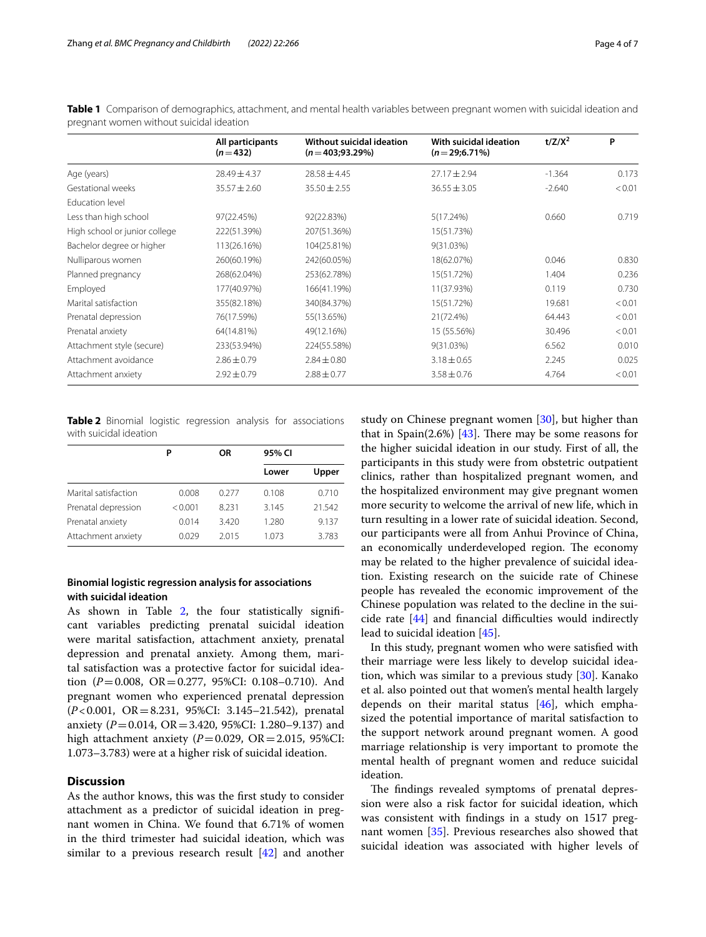|                               | All participants | Without suicidal ideation | With suicidal ideation | $t/Z/X^2$ | P      |
|-------------------------------|------------------|---------------------------|------------------------|-----------|--------|
|                               | $(n=432)$        | $(n=403; 93.29%)$         | $(n=29;6.71%)$         |           |        |
| Age (years)                   | $28.49 \pm 4.37$ | $28.58 \pm 4.45$          | $27.17 \pm 2.94$       | $-1.364$  | 0.173  |
| Gestational weeks             | $35.57 \pm 2.60$ | $35.50 \pm 2.55$          | $36.55 \pm 3.05$       | $-2.640$  | < 0.01 |
| Education level               |                  |                           |                        |           |        |
| Less than high school         | 97(22.45%)       | 92(22.83%)                | 5(17.24%)              | 0.660     | 0.719  |
| High school or junior college | 222(51.39%)      | 207(51.36%)               | 15(51.73%)             |           |        |
| Bachelor degree or higher     | 113(26.16%)      | 104(25.81%)               | 9(31.03%)              |           |        |
| Nulliparous women             | 260(60.19%)      | 242(60.05%)               | 18(62.07%)             | 0.046     | 0.830  |
| Planned pregnancy             | 268(62.04%)      | 253(62.78%)               | 15(51.72%)             | 1.404     | 0.236  |
| Employed                      | 177(40.97%)      | 166(41.19%)               | 11(37.93%)             | 0.119     | 0.730  |
| Marital satisfaction          | 355(82.18%)      | 340(84.37%)               | 15(51.72%)             | 19.681    | < 0.01 |
| Prenatal depression           | 76(17.59%)       | 55(13.65%)                | 21(72.4%)              | 64.443    | < 0.01 |
| Prenatal anxiety              | 64(14.81%)       | 49(12.16%)                | 15 (55.56%)            | 30.496    | < 0.01 |
| Attachment style (secure)     | 233(53.94%)      | 224(55.58%)               | 9(31.03%)              | 6.562     | 0.010  |
| Attachment avoidance          | $2.86 \pm 0.79$  | $2.84 \pm 0.80$           | $3.18 \pm 0.65$        | 2.245     | 0.025  |
| Attachment anxiety            | $2.92 \pm 0.79$  | $2.88 \pm 0.77$           | $3.58 \pm 0.76$        | 4.764     | < 0.01 |

<span id="page-3-0"></span>**Table 1** Comparison of demographics, attachment, and mental health variables between pregnant women with suicidal ideation and pregnant women without suicidal ideation

<span id="page-3-1"></span>**Table 2** Binomial logistic regression analysis for associations with suicidal ideation

|                      | Ρ       | OR    | 95% CI |        |
|----------------------|---------|-------|--------|--------|
|                      |         |       | Lower  | Upper  |
| Marital satisfaction | 0.008   | 0.277 | 0.108  | 0.710  |
| Prenatal depression  | < 0.001 | 8.231 | 3.145  | 21.542 |
| Prenatal anxiety     | 0.014   | 3.420 | 1.280  | 9.137  |
| Attachment anxiety   | 0.029   | 2.015 | 1.073  | 3.783  |

## **Binomial logistic regression analysis for associations with suicidal ideation**

As shown in Table [2,](#page-3-1) the four statistically significant variables predicting prenatal suicidal ideation were marital satisfaction, attachment anxiety, prenatal depression and prenatal anxiety. Among them, marital satisfaction was a protective factor for suicidal ideation (*P*=0.008, OR=0.277, 95%CI: 0.108–0.710). And pregnant women who experienced prenatal depression (*P*<0.001, OR=8.231, 95%CI: 3.145–21.542), prenatal anxiety (*P*=0.014, OR=3.420, 95%CI: 1.280–9.137) and high attachment anxiety  $(P=0.029, \text{ OR} = 2.015, 95\% \text{ CI}:$ 1.073–3.783) were at a higher risk of suicidal ideation.

## **Discussion**

As the author knows, this was the frst study to consider attachment as a predictor of suicidal ideation in pregnant women in China. We found that 6.71% of women in the third trimester had suicidal ideation, which was similar to a previous research result [\[42](#page-6-22)] and another

study on Chinese pregnant women [[30\]](#page-6-23), but higher than that in Spain(2.6%) [ $43$ ]. There may be some reasons for the higher suicidal ideation in our study. First of all, the participants in this study were from obstetric outpatient clinics, rather than hospitalized pregnant women, and the hospitalized environment may give pregnant women more security to welcome the arrival of new life, which in turn resulting in a lower rate of suicidal ideation. Second, our participants were all from Anhui Province of China, an economically underdeveloped region. The economy may be related to the higher prevalence of suicidal ideation. Existing research on the suicide rate of Chinese people has revealed the economic improvement of the Chinese population was related to the decline in the suicide rate  $[44]$  $[44]$  $[44]$  and financial difficulties would indirectly lead to suicidal ideation [[45\]](#page-6-26).

In this study, pregnant women who were satisfed with their marriage were less likely to develop suicidal ideation, which was similar to a previous study [\[30](#page-6-23)]. Kanako et al. also pointed out that women's mental health largely depends on their marital status  $[46]$  $[46]$ , which emphasized the potential importance of marital satisfaction to the support network around pregnant women. A good marriage relationship is very important to promote the mental health of pregnant women and reduce suicidal ideation.

The findings revealed symptoms of prenatal depression were also a risk factor for suicidal ideation, which was consistent with fndings in a study on 1517 pregnant women [[35\]](#page-6-15). Previous researches also showed that suicidal ideation was associated with higher levels of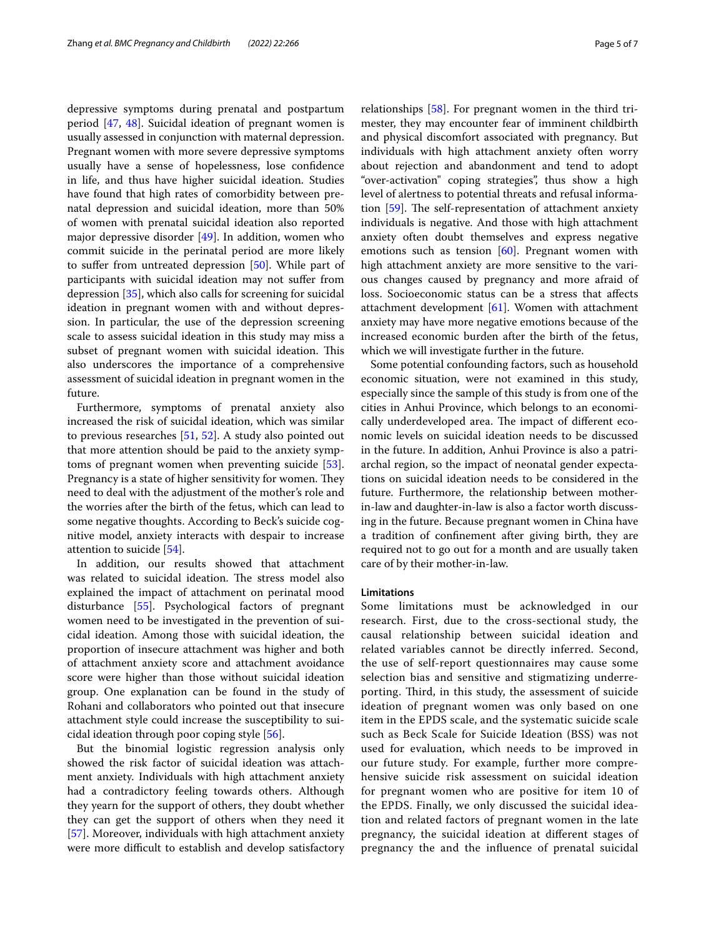depressive symptoms during prenatal and postpartum period [\[47](#page-6-28), [48\]](#page-6-29). Suicidal ideation of pregnant women is usually assessed in conjunction with maternal depression. Pregnant women with more severe depressive symptoms usually have a sense of hopelessness, lose confdence in life, and thus have higher suicidal ideation. Studies have found that high rates of comorbidity between prenatal depression and suicidal ideation, more than 50% of women with prenatal suicidal ideation also reported major depressive disorder [[49\]](#page-6-30). In addition, women who commit suicide in the perinatal period are more likely to sufer from untreated depression [[50\]](#page-6-31). While part of participants with suicidal ideation may not sufer from depression [\[35](#page-6-15)], which also calls for screening for suicidal ideation in pregnant women with and without depression. In particular, the use of the depression screening scale to assess suicidal ideation in this study may miss a subset of pregnant women with suicidal ideation. This also underscores the importance of a comprehensive assessment of suicidal ideation in pregnant women in the future.

Furthermore, symptoms of prenatal anxiety also increased the risk of suicidal ideation, which was similar to previous researches [\[51,](#page-6-32) [52\]](#page-6-33). A study also pointed out that more attention should be paid to the anxiety symptoms of pregnant women when preventing suicide [\[53](#page-6-34)]. Pregnancy is a state of higher sensitivity for women. They need to deal with the adjustment of the mother's role and the worries after the birth of the fetus, which can lead to some negative thoughts. According to Beck's suicide cognitive model, anxiety interacts with despair to increase attention to suicide [[54\]](#page-6-35).

In addition, our results showed that attachment was related to suicidal ideation. The stress model also explained the impact of attachment on perinatal mood disturbance [[55\]](#page-6-36). Psychological factors of pregnant women need to be investigated in the prevention of suicidal ideation. Among those with suicidal ideation, the proportion of insecure attachment was higher and both of attachment anxiety score and attachment avoidance score were higher than those without suicidal ideation group. One explanation can be found in the study of Rohani and collaborators who pointed out that insecure attachment style could increase the susceptibility to suicidal ideation through poor coping style [\[56\]](#page-6-37).

But the binomial logistic regression analysis only showed the risk factor of suicidal ideation was attachment anxiety. Individuals with high attachment anxiety had a contradictory feeling towards others. Although they yearn for the support of others, they doubt whether they can get the support of others when they need it [[57\]](#page-6-38). Moreover, individuals with high attachment anxiety were more difficult to establish and develop satisfactory relationships [[58\]](#page-6-39). For pregnant women in the third trimester, they may encounter fear of imminent childbirth and physical discomfort associated with pregnancy. But individuals with high attachment anxiety often worry about rejection and abandonment and tend to adopt "over-activation" coping strategies", thus show a high level of alertness to potential threats and refusal information  $[59]$ . The self-representation of attachment anxiety individuals is negative. And those with high attachment anxiety often doubt themselves and express negative emotions such as tension  $[60]$ . Pregnant women with high attachment anxiety are more sensitive to the various changes caused by pregnancy and more afraid of loss. Socioeconomic status can be a stress that afects attachment development [[61\]](#page-6-42). Women with attachment anxiety may have more negative emotions because of the increased economic burden after the birth of the fetus, which we will investigate further in the future.

Some potential confounding factors, such as household economic situation, were not examined in this study, especially since the sample of this study is from one of the cities in Anhui Province, which belongs to an economically underdeveloped area. The impact of different economic levels on suicidal ideation needs to be discussed in the future. In addition, Anhui Province is also a patriarchal region, so the impact of neonatal gender expectations on suicidal ideation needs to be considered in the future. Furthermore, the relationship between motherin-law and daughter-in-law is also a factor worth discussing in the future. Because pregnant women in China have a tradition of confnement after giving birth, they are required not to go out for a month and are usually taken care of by their mother-in-law.

#### **Limitations**

Some limitations must be acknowledged in our research. First, due to the cross-sectional study, the causal relationship between suicidal ideation and related variables cannot be directly inferred. Second, the use of self-report questionnaires may cause some selection bias and sensitive and stigmatizing underreporting. Third, in this study, the assessment of suicide ideation of pregnant women was only based on one item in the EPDS scale, and the systematic suicide scale such as Beck Scale for Suicide Ideation (BSS) was not used for evaluation, which needs to be improved in our future study. For example, further more comprehensive suicide risk assessment on suicidal ideation for pregnant women who are positive for item 10 of the EPDS. Finally, we only discussed the suicidal ideation and related factors of pregnant women in the late pregnancy, the suicidal ideation at diferent stages of pregnancy the and the infuence of prenatal suicidal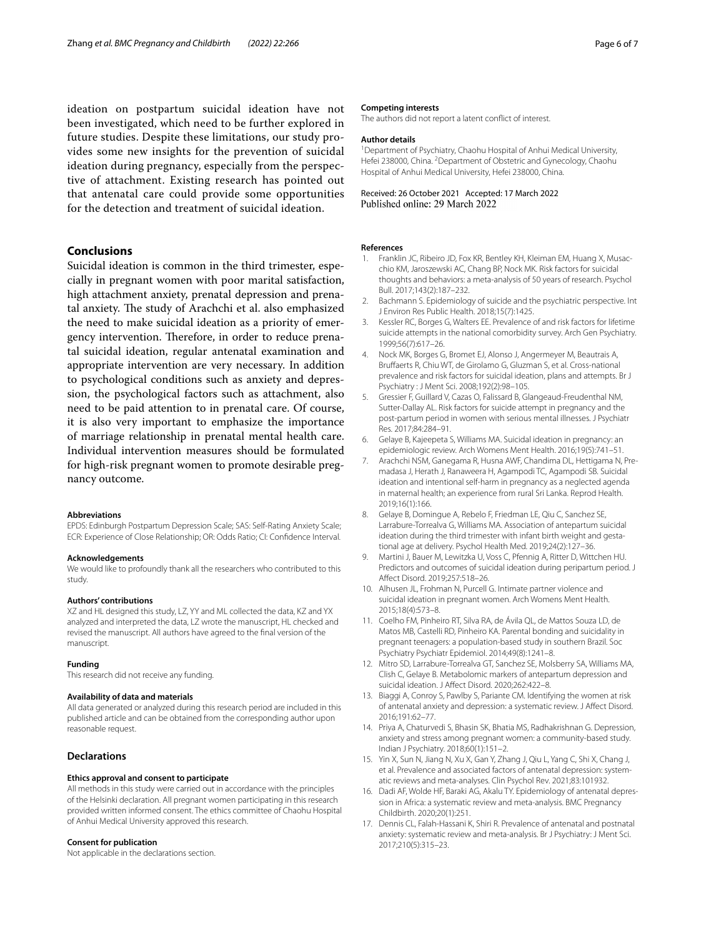ideation on postpartum suicidal ideation have not been investigated, which need to be further explored in future studies. Despite these limitations, our study provides some new insights for the prevention of suicidal ideation during pregnancy, especially from the perspective of attachment. Existing research has pointed out that antenatal care could provide some opportunities for the detection and treatment of suicidal ideation.

## **Conclusions**

Suicidal ideation is common in the third trimester, especially in pregnant women with poor marital satisfaction, high attachment anxiety, prenatal depression and prenatal anxiety. The study of Arachchi et al. also emphasized the need to make suicidal ideation as a priority of emergency intervention. Therefore, in order to reduce prenatal suicidal ideation, regular antenatal examination and appropriate intervention are very necessary. In addition to psychological conditions such as anxiety and depression, the psychological factors such as attachment, also need to be paid attention to in prenatal care. Of course, it is also very important to emphasize the importance of marriage relationship in prenatal mental health care. Individual intervention measures should be formulated for high-risk pregnant women to promote desirable pregnancy outcome.

#### **Abbreviations**

EPDS: Edinburgh Postpartum Depression Scale; SAS: Self-Rating Anxiety Scale; ECR: Experience of Close Relationship; OR: Odds Ratio; CI: Confdence Interval.

#### **Acknowledgements**

We would like to profoundly thank all the researchers who contributed to this study.

#### **Authors' contributions**

XZ and HL designed this study, LZ, YY and ML collected the data, KZ and YX analyzed and interpreted the data, LZ wrote the manuscript, HL checked and revised the manuscript. All authors have agreed to the fnal version of the manuscript.

#### **Funding**

This research did not receive any funding.

#### **Availability of data and materials**

All data generated or analyzed during this research period are included in this published article and can be obtained from the corresponding author upon reasonable request.

#### **Declarations**

#### **Ethics approval and consent to participate**

All methods in this study were carried out in accordance with the principles of the Helsinki declaration. All pregnant women participating in this research provided written informed consent. The ethics committee of Chaohu Hospital of Anhui Medical University approved this research.

#### **Consent for publication**

Not applicable in the declarations section.

#### **Competing interests**

The authors did not report a latent confict of interest.

#### **Author details**

<sup>1</sup> Department of Psychiatry, Chaohu Hospital of Anhui Medical University, Hefei 238000, China. <sup>2</sup> Department of Obstetric and Gynecology, Chaohu Hospital of Anhui Medical University, Hefei 238000, China.

## Received: 26 October 2021 Accepted: 17 March 2022

#### **References**

- <span id="page-5-0"></span>1. Franklin JC, Ribeiro JD, Fox KR, Bentley KH, Kleiman EM, Huang X, Musacchio KM, Jaroszewski AC, Chang BP, Nock MK. Risk factors for suicidal thoughts and behaviors: a meta-analysis of 50 years of research. Psychol Bull. 2017;143(2):187–232.
- <span id="page-5-1"></span>2. Bachmann S. Epidemiology of suicide and the psychiatric perspective. Int J Environ Res Public Health. 2018;15(7):1425.
- <span id="page-5-2"></span>3. Kessler RC, Borges G, Walters EE. Prevalence of and risk factors for lifetime suicide attempts in the national comorbidity survey. Arch Gen Psychiatry. 1999;56(7):617–26.
- <span id="page-5-3"></span>4. Nock MK, Borges G, Bromet EJ, Alonso J, Angermeyer M, Beautrais A, Brufaerts R, Chiu WT, de Girolamo G, Gluzman S, et al. Cross-national prevalence and risk factors for suicidal ideation, plans and attempts. Br J Psychiatry : J Ment Sci. 2008;192(2):98–105.
- <span id="page-5-4"></span>5. Gressier F, Guillard V, Cazas O, Falissard B, Glangeaud-Freudenthal NM, Sutter-Dallay AL. Risk factors for suicide attempt in pregnancy and the post-partum period in women with serious mental illnesses. J Psychiatr Res. 2017;84:284–91.
- <span id="page-5-5"></span>6. Gelaye B, Kajeepeta S, Williams MA. Suicidal ideation in pregnancy: an epidemiologic review. Arch Womens Ment Health. 2016;19(5):741–51.
- <span id="page-5-6"></span>7. Arachchi NSM, Ganegama R, Husna AWF, Chandima DL, Hettigama N, Premadasa J, Herath J, Ranaweera H, Agampodi TC, Agampodi SB. Suicidal ideation and intentional self-harm in pregnancy as a neglected agenda in maternal health; an experience from rural Sri Lanka. Reprod Health. 2019;16(1):166.
- <span id="page-5-7"></span>8. Gelaye B, Domingue A, Rebelo F, Friedman LE, Qiu C, Sanchez SE, Larrabure-Torrealva G, Williams MA. Association of antepartum suicidal ideation during the third trimester with infant birth weight and gestational age at delivery. Psychol Health Med. 2019;24(2):127–36.
- <span id="page-5-8"></span>9. Martini J, Bauer M, Lewitzka U, Voss C, Pfennig A, Ritter D, Wittchen HU. Predictors and outcomes of suicidal ideation during peripartum period. J Afect Disord. 2019;257:518–26.
- <span id="page-5-9"></span>10. Alhusen JL, Frohman N, Purcell G. Intimate partner violence and suicidal ideation in pregnant women. Arch Womens Ment Health. 2015;18(4):573–8.
- <span id="page-5-10"></span>11. Coelho FM, Pinheiro RT, Silva RA, de Ávila QL, de Mattos Souza LD, de Matos MB, Castelli RD, Pinheiro KA. Parental bonding and suicidality in pregnant teenagers: a population-based study in southern Brazil. Soc Psychiatry Psychiatr Epidemiol. 2014;49(8):1241–8.
- <span id="page-5-11"></span>12. Mitro SD, Larrabure-Torrealva GT, Sanchez SE, Molsberry SA, Williams MA, Clish C, Gelaye B. Metabolomic markers of antepartum depression and suicidal ideation. J Afect Disord. 2020;262:422–8.
- <span id="page-5-12"></span>13. Biaggi A, Conroy S, Pawlby S, Pariante CM. Identifying the women at risk of antenatal anxiety and depression: a systematic review. J Afect Disord. 2016;191:62–77.
- <span id="page-5-13"></span>14. Priya A, Chaturvedi S, Bhasin SK, Bhatia MS, Radhakrishnan G. Depression, anxiety and stress among pregnant women: a community-based study. Indian J Psychiatry. 2018;60(1):151–2.
- <span id="page-5-14"></span>15. Yin X, Sun N, Jiang N, Xu X, Gan Y, Zhang J, Qiu L, Yang C, Shi X, Chang J, et al. Prevalence and associated factors of antenatal depression: systematic reviews and meta-analyses. Clin Psychol Rev. 2021;83:101932.
- <span id="page-5-15"></span>16. Dadi AF, Wolde HF, Baraki AG, Akalu TY. Epidemiology of antenatal depression in Africa: a systematic review and meta-analysis. BMC Pregnancy Childbirth. 2020;20(1):251.
- <span id="page-5-16"></span>17. Dennis CL, Falah-Hassani K, Shiri R. Prevalence of antenatal and postnatal anxiety: systematic review and meta-analysis. Br J Psychiatry: J Ment Sci. 2017;210(5):315–23.